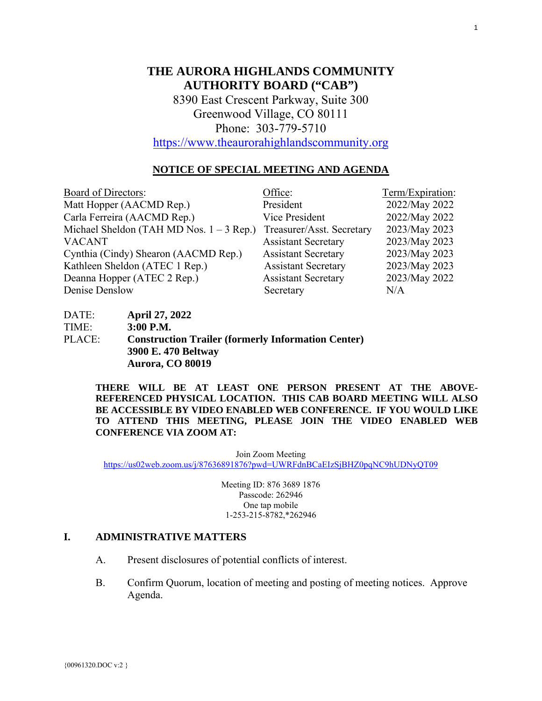# **THE AURORA HIGHLANDS COMMUNITY AUTHORITY BOARD ("CAB")**

8390 East Crescent Parkway, Suite 300 Greenwood Village, CO 80111 Phone: 303-779-5710

[https://www.theaurorahighlandscommunity.org](https://www.theaurorahighlandscommunity.org/)

# **NOTICE OF SPECIAL MEETING AND AGENDA**

| <b>Board of Directors:</b>                 | Office:                    | Term/Expiration: |
|--------------------------------------------|----------------------------|------------------|
| Matt Hopper (AACMD Rep.)                   | President                  | 2022/May 2022    |
| Carla Ferreira (AACMD Rep.)                | Vice President             | 2022/May 2022    |
| Michael Sheldon (TAH MD Nos. $1 - 3$ Rep.) | Treasurer/Asst. Secretary  | 2023/May 2023    |
| <b>VACANT</b>                              | <b>Assistant Secretary</b> | 2023/May 2023    |
| Cynthia (Cindy) Shearon (AACMD Rep.)       | <b>Assistant Secretary</b> | 2023/May 2023    |
| Kathleen Sheldon (ATEC 1 Rep.)             | <b>Assistant Secretary</b> | 2023/May 2023    |
| Deanna Hopper (ATEC 2 Rep.)                | <b>Assistant Secretary</b> | 2023/May 2022    |
| Denise Denslow                             | Secretary                  | N/A              |

DATE: **April 27, 2022** TIME: **3:00 P.M.** PLACE: **Construction Trailer (formerly Information Center) 3900 E. 470 Beltway Aurora, CO 80019** 

> **THERE WILL BE AT LEAST ONE PERSON PRESENT AT THE ABOVE-REFERENCED PHYSICAL LOCATION. THIS CAB BOARD MEETING WILL ALSO BE ACCESSIBLE BY VIDEO ENABLED WEB CONFERENCE. IF YOU WOULD LIKE TO ATTEND THIS MEETING, PLEASE JOIN THE VIDEO ENABLED WEB CONFERENCE VIA ZOOM AT:**

> > Join Zoom Meeting

<https://us02web.zoom.us/j/87636891876?pwd=UWRFdnBCaEIzSjBHZ0pqNC9hUDNyQT09>

Meeting ID: 876 3689 1876 Passcode: 262946 One tap mobile 1-253-215-8782,\*262946

# **I. ADMINISTRATIVE MATTERS**

- A. Present disclosures of potential conflicts of interest.
- B. Confirm Quorum, location of meeting and posting of meeting notices. Approve Agenda.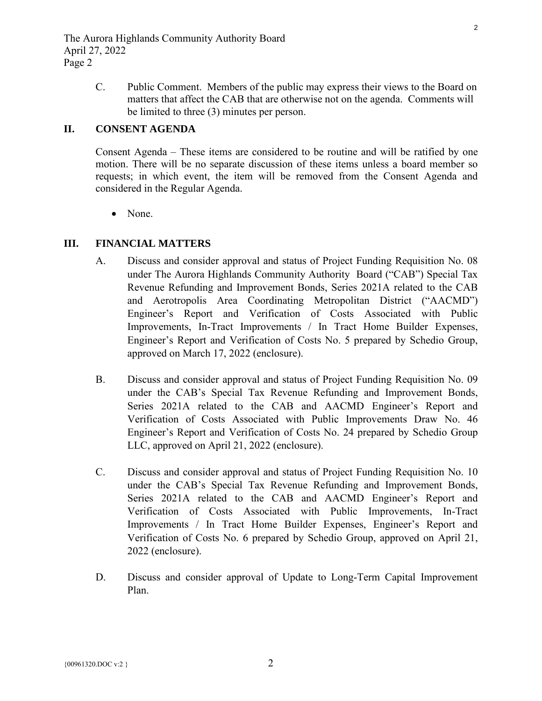C. Public Comment. Members of the public may express their views to the Board on matters that affect the CAB that are otherwise not on the agenda. Comments will be limited to three (3) minutes per person.

# **II. CONSENT AGENDA**

Consent Agenda – These items are considered to be routine and will be ratified by one motion. There will be no separate discussion of these items unless a board member so requests; in which event, the item will be removed from the Consent Agenda and considered in the Regular Agenda.

• None.

# **III. FINANCIAL MATTERS**

- A. Discuss and consider approval and status of Project Funding Requisition No. 08 [under The Aurora Highlands Community Authority Board \("CAB"\) Special Tax](#page-3-0)  Revenue Refunding and Improvement Bonds, Series 2021A related to the CAB and Aerotropolis Area Coordinating Metropolitan District ("AACMD") Engineer's Report and Verification of Costs Associated with Public Improvements, In-Tract Improvements / In Tract Home Builder Expenses, Engineer's Report and Verification of Costs No. 5 prepared by Schedio Group, approved on March 17, 2022 (enclosure).
- B. Discuss and consider approval and status of Project Funding Requisition No. 09 under the CAB's Special Tax Revenue Refunding and Improvement Bonds, Series 2021A related to the CAB and AACMD Engineer's Report and Verification of Costs Associated with Public Improvements Draw No. 46 [Engineer's Report and Verification of Costs No. 24 prepared by Schedio Group](#page-9-0)  LLC, approved on April 21, 2022 (enclosure).
- C. Discuss and consider approval and status of Project Funding Requisition No. 10 [under the CAB's Special Tax Revenue Refunding and Improvement Bonds,](#page-14-0)  Series 2021A related to the CAB and AACMD Engineer's Report and Verification of Costs Associated with Public Improvements, In-Tract Improvements / In Tract Home Builder Expenses, Engineer's Report and Verification of Costs No. 6 prepared by Schedio Group, approved on April 21, 2022 (enclosure).
- D. Discuss and consider approval of Update to Long-Term Capital Improvement Plan.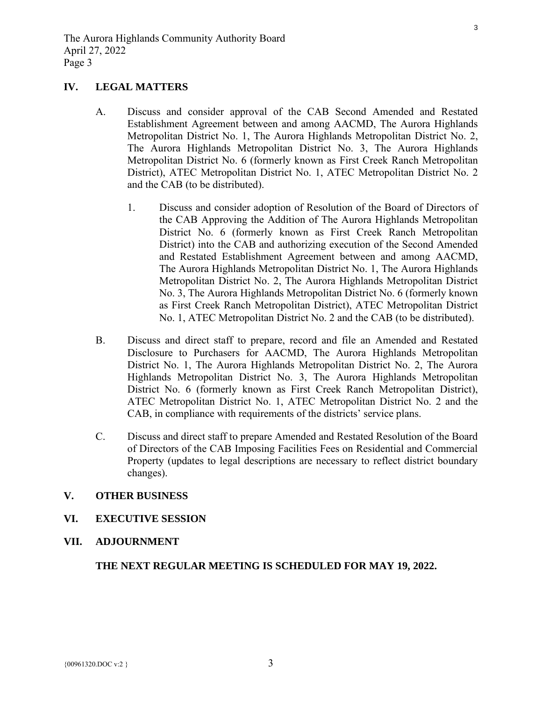# **IV. LEGAL MATTERS**

- A. Discuss and consider approval of the CAB Second Amended and Restated Establishment Agreement between and among AACMD, The Aurora Highlands Metropolitan District No. 1, The Aurora Highlands Metropolitan District No. 2, The Aurora Highlands Metropolitan District No. 3, The Aurora Highlands Metropolitan District No. 6 (formerly known as First Creek Ranch Metropolitan District), ATEC Metropolitan District No. 1, ATEC Metropolitan District No. 2 and the CAB (to be distributed).
	- 1. Discuss and consider adoption of Resolution of the Board of Directors of the CAB Approving the Addition of The Aurora Highlands Metropolitan District No. 6 (formerly known as First Creek Ranch Metropolitan District) into the CAB and authorizing execution of the Second Amended and Restated Establishment Agreement between and among AACMD, The Aurora Highlands Metropolitan District No. 1, The Aurora Highlands Metropolitan District No. 2, The Aurora Highlands Metropolitan District No. 3, The Aurora Highlands Metropolitan District No. 6 (formerly known as First Creek Ranch Metropolitan District), ATEC Metropolitan District No. 1, ATEC Metropolitan District No. 2 and the CAB (to be distributed).
- B. Discuss and direct staff to prepare, record and file an Amended and Restated Disclosure to Purchasers for AACMD, The Aurora Highlands Metropolitan District No. 1, The Aurora Highlands Metropolitan District No. 2, The Aurora Highlands Metropolitan District No. 3, The Aurora Highlands Metropolitan District No. 6 (formerly known as First Creek Ranch Metropolitan District), ATEC Metropolitan District No. 1, ATEC Metropolitan District No. 2 and the CAB, in compliance with requirements of the districts' service plans.
- C. Discuss and direct staff to prepare Amended and Restated Resolution of the Board of Directors of the CAB Imposing Facilities Fees on Residential and Commercial Property (updates to legal descriptions are necessary to reflect district boundary changes).

# **V. OTHER BUSINESS**

- **VI. EXECUTIVE SESSION**
- **VII. ADJOURNMENT**

# **THE NEXT REGULAR MEETING IS SCHEDULED FOR MAY 19, 2022.**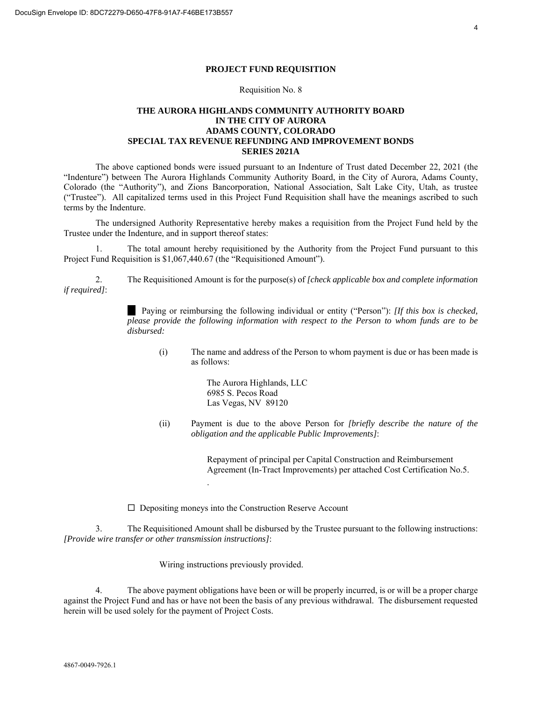#### **PROJECT FUND REQUISITION**

#### Requisition No. 8

#### <span id="page-3-0"></span>**THE AURORA HIGHLANDS COMMUNITY AUTHORITY BOARD IN THE CITY OF AURORA ADAMS COUNTY, COLORADO SPECIAL TAX REVENUE REFUNDING AND IMPROVEMENT BONDS SERIES 2021A**

The above captioned bonds were issued pursuant to an Indenture of Trust dated December 22, 2021 (the "Indenture") between The Aurora Highlands Community Authority Board, in the City of Aurora, Adams County, Colorado (the "Authority"), and Zions Bancorporation, National Association, Salt Lake City, Utah, as trustee ("Trustee"). All capitalized terms used in this Project Fund Requisition shall have the meanings ascribed to such terms by the Indenture.

The undersigned Authority Representative hereby makes a requisition from the Project Fund held by the Trustee under the Indenture, and in support thereof states:

1. The total amount hereby requisitioned by the Authority from the Project Fund pursuant to this Project Fund Requisition is \$1,067,440.67 (the "Requisitioned Amount").

2. The Requisitioned Amount is for the purpose(s) of *[check applicable box and complete information if required]*:

> Paying or reimbursing the following individual or entity ("Person"): *[If this box is checked, please provide the following information with respect to the Person to whom funds are to be disbursed:*

(i) The name and address of the Person to whom payment is due or has been made is as follows:

> The Aurora Highlands, LLC 6985 S. Pecos Road Las Vegas, NV 89120

(ii) Payment is due to the above Person for *[briefly describe the nature of the obligation and the applicable Public Improvements]*:

> Repayment of principal per Capital Construction and Reimbursement Agreement (In-Tract Improvements) per attached Cost Certification No.5.

 $\Box$  Depositing moneys into the Construction Reserve Account

.

3. The Requisitioned Amount shall be disbursed by the Trustee pursuant to the following instructions: *[Provide wire transfer or other transmission instructions]*:

Wiring instructions previously provided.

4. The above payment obligations have been or will be properly incurred, is or will be a proper charge against the Project Fund and has or have not been the basis of any previous withdrawal. The disbursement requested herein will be used solely for the payment of Project Costs.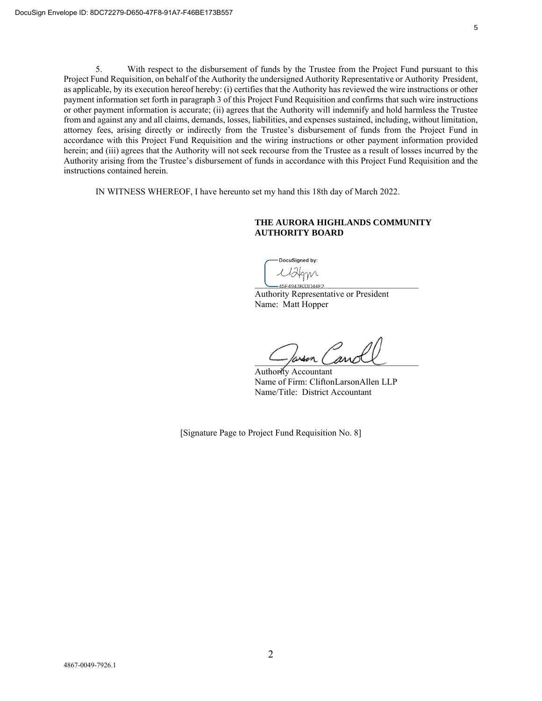5. With respect to the disbursement of funds by the Trustee from the Project Fund pursuant to this Project Fund Requisition, on behalf of the Authority the undersigned Authority Representative or Authority President, as applicable, by its execution hereof hereby: (i) certifies that the Authority has reviewed the wire instructions or other payment information set forth in paragraph 3 of this Project Fund Requisition and confirms that such wire instructions or other payment information is accurate; (ii) agrees that the Authority will indemnify and hold harmless the Trustee from and against any and all claims, demands, losses, liabilities, and expenses sustained, including, without limitation, attorney fees, arising directly or indirectly from the Trustee's disbursement of funds from the Project Fund in accordance with this Project Fund Requisition and the wiring instructions or other payment information provided herein; and (iii) agrees that the Authority will not seek recourse from the Trustee as a result of losses incurred by the Authority arising from the Trustee's disbursement of funds in accordance with this Project Fund Requisition and the instructions contained herein.

IN WITNESS WHEREOF, I have hereunto set my hand this 18th day of March 2022.

#### **THE AURORA HIGHLANDS COMMUNITY AUTHORITY BOARD**

DocuSigned by:

Malgnr 45E4943B33D44F2.

Authority Representative or President Name: Matt Hopper

\_\_\_\_\_\_\_\_\_\_\_\_\_\_\_\_\_\_\_\_\_\_\_\_\_\_\_\_\_\_\_\_\_\_\_\_\_

Authority Accountant Name of Firm: CliftonLarsonAllen LLP Name/Title: District Accountant

[Signature Page to Project Fund Requisition No. 8]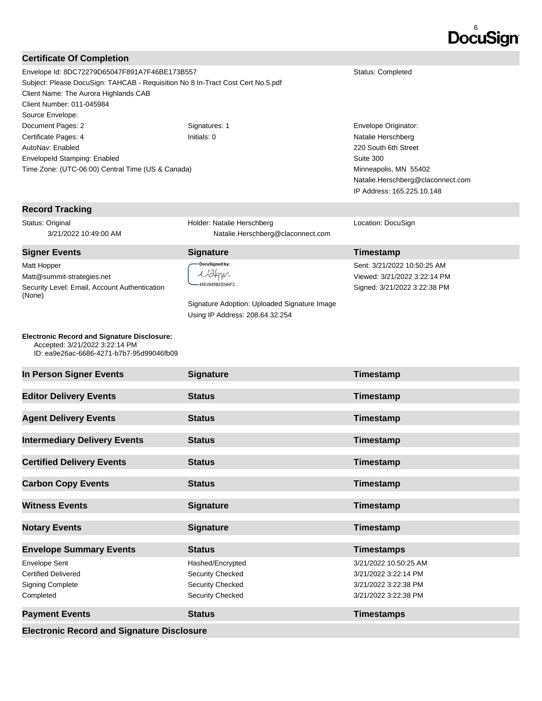# 6

## **Certificate Of Completion**

Envelope Id: 8DC72279D65047F891A7F46BE173B557 Status: Completed Subject: Please DocuSign: TAHCAB - Requisition No 8 In-Tract Cost Cert No.5.pdf Client Name: The Aurora Highlands CAB Client Number: 011-045984 Source Envelope: Document Pages: 2 Signatures: 1 Envelope Originator: Certificate Pages: 4 Initials: 0 Natalie Herschberg AutoNav: Enabled EnvelopeId Stamping: Enabled Time Zone: (UTC-06:00) Central Time (US & Canada)

#### **Record Tracking**

Status: Original 3/21/2022 10:49:00 AM

#### **Signer Events Signature Construction Construction Construction Construction Construction Construction Construction Construction Construction Construction Construction Construction Construction Construction Constructio**

Matt Hopper Matt@summit-strategies.net Security Level: Email, Account Authentication (None)

**Electronic Record and Signature Disclosure:**  Accepted: 3/21/2022 3:22:14 PM

ID: ea9e26ac-6686-4271-b7b7-95d99046fb09

Holder: Natalie Herschberg Natalie.Herschberg@claconnect.com

DocuSigned by: Malgyn -45E4943B33D44F2...

Signature Adoption: Uploaded Signature Image Using IP Address: 208.64.32.254

220 South 6th Street Suite 300 Minneapolis, MN 55402 Natalie.Herschberg@claconnect.com IP Address: 165.225.10.148

Location: DocuSign

# Sent: 3/21/2022 10:50:25 AM Viewed: 3/21/2022 3:22:14 PM Signed: 3/21/2022 3:22:38 PM

| In Person Signer Events                                                                    | <b>Signature</b>                                                             | Timestamp                                                                                     |
|--------------------------------------------------------------------------------------------|------------------------------------------------------------------------------|-----------------------------------------------------------------------------------------------|
| <b>Editor Delivery Events</b>                                                              | <b>Status</b>                                                                | Timestamp                                                                                     |
| <b>Agent Delivery Events</b>                                                               | <b>Status</b>                                                                | Timestamp                                                                                     |
|                                                                                            | <b>Status</b>                                                                |                                                                                               |
| <b>Intermediary Delivery Events</b>                                                        |                                                                              | Timestamp                                                                                     |
| <b>Certified Delivery Events</b>                                                           | <b>Status</b>                                                                | Timestamp                                                                                     |
| <b>Carbon Copy Events</b>                                                                  | <b>Status</b>                                                                | Timestamp                                                                                     |
| <b>Witness Events</b>                                                                      | <b>Signature</b>                                                             | Timestamp                                                                                     |
| <b>Notary Events</b>                                                                       | <b>Signature</b>                                                             | Timestamp                                                                                     |
| <b>Envelope Summary Events</b>                                                             | <b>Status</b>                                                                | <b>Timestamps</b>                                                                             |
| <b>Envelope Sent</b><br><b>Certified Delivered</b><br><b>Signing Complete</b><br>Completed | Hashed/Encrypted<br>Security Checked<br>Security Checked<br>Security Checked | 3/21/2022 10:50:25 AM<br>3/21/2022 3:22:14 PM<br>3/21/2022 3:22:38 PM<br>3/21/2022 3:22:38 PM |
| <b>Payment Events</b>                                                                      | <b>Status</b>                                                                | <b>Timestamps</b>                                                                             |
| <b>Electronic Record and Signature Disclosure</b>                                          |                                                                              |                                                                                               |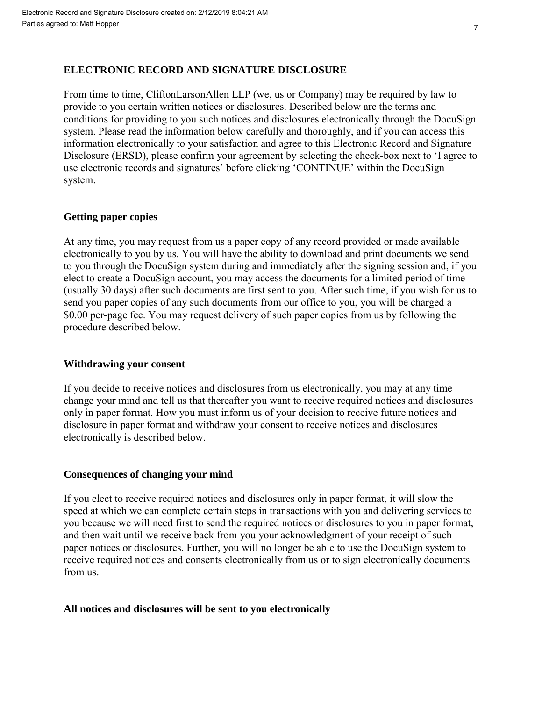# **ELECTRONIC RECORD AND SIGNATURE DISCLOSURE**

From time to time, CliftonLarsonAllen LLP (we, us or Company) may be required by law to provide to you certain written notices or disclosures. Described below are the terms and conditions for providing to you such notices and disclosures electronically through the DocuSign system. Please read the information below carefully and thoroughly, and if you can access this information electronically to your satisfaction and agree to this Electronic Record and Signature Disclosure (ERSD), please confirm your agreement by selecting the check-box next to 'I agree to use electronic records and signatures' before clicking 'CONTINUE' within the DocuSign system.

# **Getting paper copies**

At any time, you may request from us a paper copy of any record provided or made available electronically to you by us. You will have the ability to download and print documents we send to you through the DocuSign system during and immediately after the signing session and, if you elect to create a DocuSign account, you may access the documents for a limited period of time (usually 30 days) after such documents are first sent to you. After such time, if you wish for us to send you paper copies of any such documents from our office to you, you will be charged a \$0.00 per-page fee. You may request delivery of such paper copies from us by following the procedure described below.

# **Withdrawing your consent**

If you decide to receive notices and disclosures from us electronically, you may at any time change your mind and tell us that thereafter you want to receive required notices and disclosures only in paper format. How you must inform us of your decision to receive future notices and disclosure in paper format and withdraw your consent to receive notices and disclosures electronically is described below.

# **Consequences of changing your mind**

If you elect to receive required notices and disclosures only in paper format, it will slow the speed at which we can complete certain steps in transactions with you and delivering services to you because we will need first to send the required notices or disclosures to you in paper format, and then wait until we receive back from you your acknowledgment of your receipt of such paper notices or disclosures. Further, you will no longer be able to use the DocuSign system to receive required notices and consents electronically from us or to sign electronically documents from us.

# **All notices and disclosures will be sent to you electronically**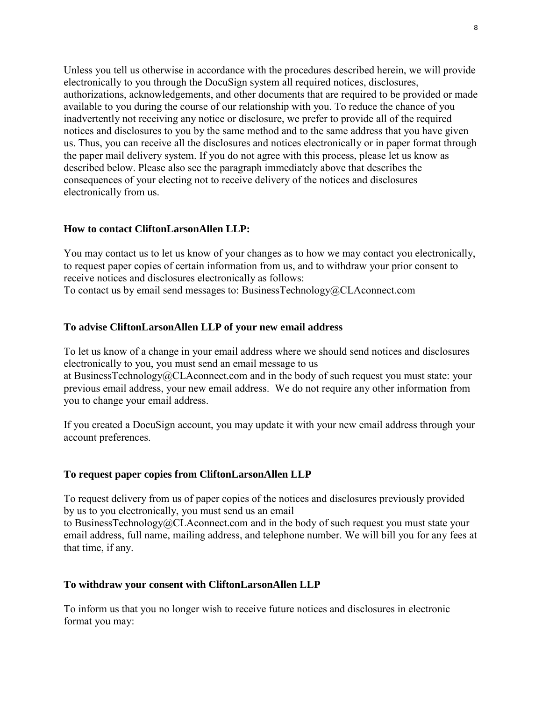Unless you tell us otherwise in accordance with the procedures described herein, we will provide electronically to you through the DocuSign system all required notices, disclosures, authorizations, acknowledgements, and other documents that are required to be provided or made available to you during the course of our relationship with you. To reduce the chance of you inadvertently not receiving any notice or disclosure, we prefer to provide all of the required notices and disclosures to you by the same method and to the same address that you have given us. Thus, you can receive all the disclosures and notices electronically or in paper format through the paper mail delivery system. If you do not agree with this process, please let us know as described below. Please also see the paragraph immediately above that describes the consequences of your electing not to receive delivery of the notices and disclosures electronically from us.

# **How to contact CliftonLarsonAllen LLP:**

You may contact us to let us know of your changes as to how we may contact you electronically, to request paper copies of certain information from us, and to withdraw your prior consent to receive notices and disclosures electronically as follows:

To contact us by email send messages to: BusinessTechnology@CLAconnect.com

# **To advise CliftonLarsonAllen LLP of your new email address**

To let us know of a change in your email address where we should send notices and disclosures electronically to you, you must send an email message to us at BusinessTechnology@CLAconnect.com and in the body of such request you must state: your previous email address, your new email address. We do not require any other information from you to change your email address.

If you created a DocuSign account, you may update it with your new email address through your account preferences.

# **To request paper copies from CliftonLarsonAllen LLP**

To request delivery from us of paper copies of the notices and disclosures previously provided by us to you electronically, you must send us an email

to BusinessTechnology@CLAconnect.com and in the body of such request you must state your email address, full name, mailing address, and telephone number. We will bill you for any fees at that time, if any.

# **To withdraw your consent with CliftonLarsonAllen LLP**

To inform us that you no longer wish to receive future notices and disclosures in electronic format you may: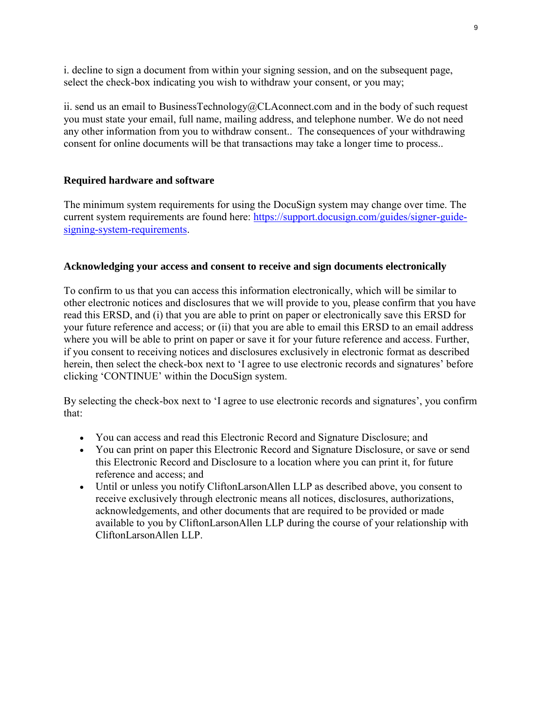i. decline to sign a document from within your signing session, and on the subsequent page, select the check-box indicating you wish to withdraw your consent, or you may;

ii. send us an email to BusinessTechnology@CLAconnect.com and in the body of such request you must state your email, full name, mailing address, and telephone number. We do not need any other information from you to withdraw consent.. The consequences of your withdrawing consent for online documents will be that transactions may take a longer time to process..

# **Required hardware and software**

The minimum system requirements for using the DocuSign system may change over time. The current system requirements are found here: https://support.docusign.com/guides/signer-guidesigning-system-requirements.

# **Acknowledging your access and consent to receive and sign documents electronically**

To confirm to us that you can access this information electronically, which will be similar to other electronic notices and disclosures that we will provide to you, please confirm that you have read this ERSD, and (i) that you are able to print on paper or electronically save this ERSD for your future reference and access; or (ii) that you are able to email this ERSD to an email address where you will be able to print on paper or save it for your future reference and access. Further, if you consent to receiving notices and disclosures exclusively in electronic format as described herein, then select the check-box next to 'I agree to use electronic records and signatures' before clicking 'CONTINUE' within the DocuSign system.

By selecting the check-box next to 'I agree to use electronic records and signatures', you confirm that:

- You can access and read this Electronic Record and Signature Disclosure; and
- You can print on paper this Electronic Record and Signature Disclosure, or save or send this Electronic Record and Disclosure to a location where you can print it, for future reference and access; and
- Until or unless you notify CliftonLarsonAllen LLP as described above, you consent to receive exclusively through electronic means all notices, disclosures, authorizations, acknowledgements, and other documents that are required to be provided or made available to you by CliftonLarsonAllen LLP during the course of your relationship with CliftonLarsonAllen LLP.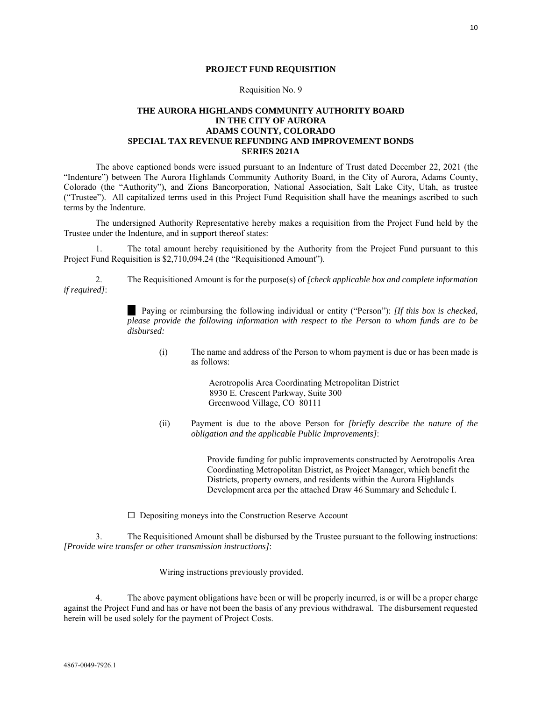#### **PROJECT FUND REQUISITION**

#### Requisition No. 9

#### <span id="page-9-0"></span>**THE AURORA HIGHLANDS COMMUNITY AUTHORITY BOARD IN THE CITY OF AURORA ADAMS COUNTY, COLORADO SPECIAL TAX REVENUE REFUNDING AND IMPROVEMENT BONDS SERIES 2021A**

The above captioned bonds were issued pursuant to an Indenture of Trust dated December 22, 2021 (the "Indenture") between The Aurora Highlands Community Authority Board, in the City of Aurora, Adams County, Colorado (the "Authority"), and Zions Bancorporation, National Association, Salt Lake City, Utah, as trustee ("Trustee"). All capitalized terms used in this Project Fund Requisition shall have the meanings ascribed to such terms by the Indenture.

The undersigned Authority Representative hereby makes a requisition from the Project Fund held by the Trustee under the Indenture, and in support thereof states:

1. The total amount hereby requisitioned by the Authority from the Project Fund pursuant to this Project Fund Requisition is \$2,710,094.24 (the "Requisitioned Amount").

2. The Requisitioned Amount is for the purpose(s) of *[check applicable box and complete information if required]*:

> Paying or reimbursing the following individual or entity ("Person"): *[If this box is checked, please provide the following information with respect to the Person to whom funds are to be disbursed:*

(i) The name and address of the Person to whom payment is due or has been made is as follows:

> Aerotropolis Area Coordinating Metropolitan District 8930 E. Crescent Parkway, Suite 300 Greenwood Village, CO 80111

(ii) Payment is due to the above Person for *[briefly describe the nature of the obligation and the applicable Public Improvements]*:

> Provide funding for public improvements constructed by Aerotropolis Area Coordinating Metropolitan District, as Project Manager, which benefit the Districts, property owners, and residents within the Aurora Highlands Development area per the attached Draw 46 Summary and Schedule I.

 $\Box$  Depositing moneys into the Construction Reserve Account

3. The Requisitioned Amount shall be disbursed by the Trustee pursuant to the following instructions: *[Provide wire transfer or other transmission instructions]*:

Wiring instructions previously provided.

4. The above payment obligations have been or will be properly incurred, is or will be a proper charge against the Project Fund and has or have not been the basis of any previous withdrawal. The disbursement requested herein will be used solely for the payment of Project Costs.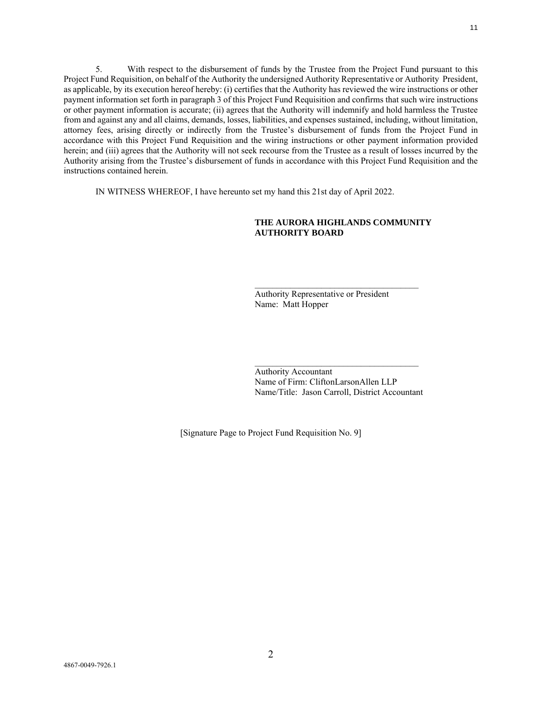5. With respect to the disbursement of funds by the Trustee from the Project Fund pursuant to this Project Fund Requisition, on behalf of the Authority the undersigned Authority Representative or Authority President, as applicable, by its execution hereof hereby: (i) certifies that the Authority has reviewed the wire instructions or other payment information set forth in paragraph 3 of this Project Fund Requisition and confirms that such wire instructions or other payment information is accurate; (ii) agrees that the Authority will indemnify and hold harmless the Trustee from and against any and all claims, demands, losses, liabilities, and expenses sustained, including, without limitation, attorney fees, arising directly or indirectly from the Trustee's disbursement of funds from the Project Fund in accordance with this Project Fund Requisition and the wiring instructions or other payment information provided herein; and (iii) agrees that the Authority will not seek recourse from the Trustee as a result of losses incurred by the Authority arising from the Trustee's disbursement of funds in accordance with this Project Fund Requisition and the instructions contained herein.

IN WITNESS WHEREOF, I have hereunto set my hand this 21st day of April 2022.

#### **THE AURORA HIGHLANDS COMMUNITY AUTHORITY BOARD**

Authority Representative or President Name: Matt Hopper

\_\_\_\_\_\_\_\_\_\_\_\_\_\_\_\_\_\_\_\_\_\_\_\_\_\_\_\_\_\_\_\_\_\_\_\_\_

Authority Accountant Name of Firm: CliftonLarsonAllen LLP Name/Title: Jason Carroll, District Accountant

\_\_\_\_\_\_\_\_\_\_\_\_\_\_\_\_\_\_\_\_\_\_\_\_\_\_\_\_\_\_\_\_\_\_\_\_\_

[Signature Page to Project Fund Requisition No. 9]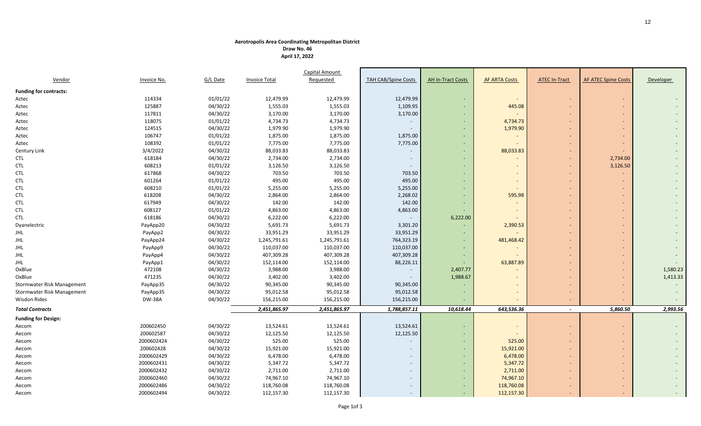#### **Aerotropolis Area Coordinating Metropolitan District**

**Draw No. 46 April 17, 2022**

|                               |                    |          |                      | Capital Amount |                            |                          |                      |                          |                            |                  |
|-------------------------------|--------------------|----------|----------------------|----------------|----------------------------|--------------------------|----------------------|--------------------------|----------------------------|------------------|
| Vendor                        | <b>Invoice No.</b> | G/L Date | <b>Invoice Total</b> | Requested      | <b>TAH CAB/Spine Costs</b> | <b>AH In-Tract Costs</b> | <b>AF ARTA Costs</b> | <b>ATEC In-Tract</b>     | <b>AF ATEC Spine Costs</b> | <b>Developer</b> |
| <b>Funding for contracts:</b> |                    |          |                      |                |                            |                          |                      |                          |                            |                  |
| Aztec                         | 114334             | 01/01/22 | 12,479.99            | 12,479.99      | 12,479.99                  | $\sim$                   | $\sim$               | $\overline{\phantom{a}}$ |                            |                  |
| Aztec                         | 125887             | 04/30/22 | 1,555.03             | 1,555.03       | 1,109.95                   | $\overline{\phantom{a}}$ | 445.08               |                          |                            |                  |
| Aztec                         | 117811             | 04/30/22 | 3,170.00             | 3,170.00       | 3,170.00                   |                          |                      |                          |                            |                  |
| Aztec                         | 118075             | 01/01/22 | 4,734.73             | 4,734.73       |                            | $\overline{\phantom{a}}$ | 4,734.73             |                          |                            |                  |
| Aztec                         | 124515             | 04/30/22 | 1,979.90             | 1,979.90       | $\overline{\phantom{a}}$   | $\sim$                   | 1,979.90             |                          |                            |                  |
| Aztec                         | 106747             | 01/01/22 | 1,875.00             | 1,875.00       | 1,875.00                   | $\overline{\phantom{a}}$ |                      |                          |                            |                  |
| Aztec                         | 108392             | 01/01/22 | 7,775.00             | 7,775.00       | 7,775.00                   |                          |                      |                          |                            |                  |
| Century Link                  | 3/4/2022           | 04/30/22 | 88,033.83            | 88,033.83      |                            | $\overline{\phantom{0}}$ | 88,033.83            |                          |                            |                  |
| <b>CTL</b>                    | 618184             | 04/30/22 | 2,734.00             | 2,734.00       | $\overline{\phantom{a}}$   | $\overline{\phantom{a}}$ |                      | $\overline{\phantom{a}}$ | 2,734.00                   |                  |
| <b>CTL</b>                    | 608213             | 01/01/22 | 3,126.50             | 3,126.50       |                            |                          |                      | $\overline{\phantom{a}}$ | 3,126.50                   |                  |
| <b>CTL</b>                    | 617868             | 04/30/22 | 703.50               | 703.50         | 703.50                     |                          |                      |                          |                            |                  |
| <b>CTL</b>                    | 601264             | 01/01/22 | 495.00               | 495.00         | 495.00                     |                          |                      |                          |                            |                  |
| <b>CTL</b>                    | 608210             | 01/01/22 | 5,255.00             | 5,255.00       | 5,255.00                   |                          |                      |                          |                            |                  |
| <b>CTL</b>                    | 618208             | 04/30/22 | 2,864.00             | 2,864.00       | 2,268.02                   |                          | 595.98               |                          |                            |                  |
| <b>CTL</b>                    | 617949             | 04/30/22 | 142.00               | 142.00         | 142.00                     | $\sim$                   |                      |                          |                            |                  |
| <b>CTL</b>                    | 608127             | 01/01/22 | 4,863.00             | 4,863.00       | 4,863.00                   |                          |                      |                          |                            |                  |
| <b>CTL</b>                    | 618186             | 04/30/22 | 6,222.00             | 6,222.00       |                            | 6,222.00                 |                      |                          |                            |                  |
| Dyanelectric                  | PayApp20           | 04/30/22 | 5,691.73             | 5,691.73       | 3,301.20                   |                          | 2,390.53             |                          |                            |                  |
| JHL                           | PayApp2            | 04/30/22 | 33,951.29            | 33,951.29      | 33,951.29                  |                          |                      |                          |                            |                  |
| JHL                           | PayApp24           | 04/30/22 | 1,245,791.61         | 1,245,791.61   | 764,323.19                 |                          | 481,468.42           |                          |                            |                  |
| <b>JHL</b>                    | PayApp9            | 04/30/22 | 110,037.00           | 110,037.00     | 110,037.00                 |                          |                      |                          |                            |                  |
| <b>JHL</b>                    | PayApp4            | 04/30/22 | 407,309.28           | 407,309.28     | 407,309.28                 | $\overline{\phantom{a}}$ |                      |                          |                            |                  |
| JHL                           | PayApp1            | 04/30/22 | 152,114.00           | 152,114.00     | 88,226.11                  |                          | 63,887.89            |                          |                            |                  |
| OxBlue                        | 472108             | 04/30/22 | 3,988.00             | 3,988.00       | $\overline{\phantom{a}}$   | 2,407.77                 |                      |                          |                            | 1,580.23         |
| OxBlue                        | 471235             | 04/30/22 | 3,402.00             | 3,402.00       |                            | 1,988.67                 |                      |                          |                            | 1,413.33         |
| Stormwater Risk Management    | PayApp35           | 04/30/22 | 90,345.00            | 90,345.00      | 90,345.00                  |                          |                      |                          |                            |                  |
| Stormwater Risk Management    | PayApp35           | 04/30/22 | 95,012.58            | 95,012.58      | 95,012.58                  |                          |                      | $\overline{\phantom{a}}$ |                            |                  |
| Wisdon Rides                  | <b>DW-38A</b>      | 04/30/22 | 156,215.00           | 156,215.00     | 156,215.00                 |                          |                      |                          |                            |                  |
| <b>Total Contracts</b>        |                    |          | 2,451,865.97         | 2,451,865.97   | 1,788,857.11               | 10,618.44                | 643,536.36           | $\sim$                   | 5,860.50                   | 2,993.56         |
| <b>Funding for Design:</b>    |                    |          |                      |                |                            |                          |                      |                          |                            |                  |
| Aecom                         | 200602450          | 04/30/22 | 13,524.61            | 13,524.61      | 13,524.61                  |                          |                      |                          |                            |                  |
| Aecom                         | 200602587          | 04/30/22 | 12,125.50            | 12,125.50      | 12,125.50                  |                          |                      |                          |                            |                  |
| Aecom                         | 2000602424         | 04/30/22 | 525.00               | 525.00         |                            |                          | 525.00               |                          |                            |                  |
| Aecom                         | 200602428          | 04/30/22 | 15,921.00            | 15,921.00      |                            |                          | 15,921.00            |                          |                            |                  |
| Aecom                         | 2000602429         | 04/30/22 | 6,478.00             | 6,478.00       | $\overline{\phantom{a}}$   | $\sim$                   | 6,478.00             |                          |                            |                  |
| Aecom                         | 2000602431         | 04/30/22 | 5,347.72             | 5,347.72       |                            |                          | 5,347.72             |                          |                            |                  |
| Aecom                         | 2000602432         | 04/30/22 | 2,711.00             | 2,711.00       | $\overline{a}$             | $\sim$                   | 2,711.00             |                          |                            |                  |
| Aecom                         | 2000602460         | 04/30/22 | 74,967.10            | 74,967.10      | $\overline{\phantom{a}}$   | $\sim$                   | 74,967.10            | $\overline{a}$           |                            |                  |
| Aecom                         | 2000602486         | 04/30/22 | 118,760.08           | 118,760.08     |                            | $\sim$                   | 118,760.08           | $\overline{\phantom{a}}$ |                            |                  |
| Aecom                         | 2000602494         | 04/30/22 | 112,157.30           | 112,157.30     | $\overline{\phantom{a}}$   | $\omega$                 | 112,157.30           |                          |                            |                  |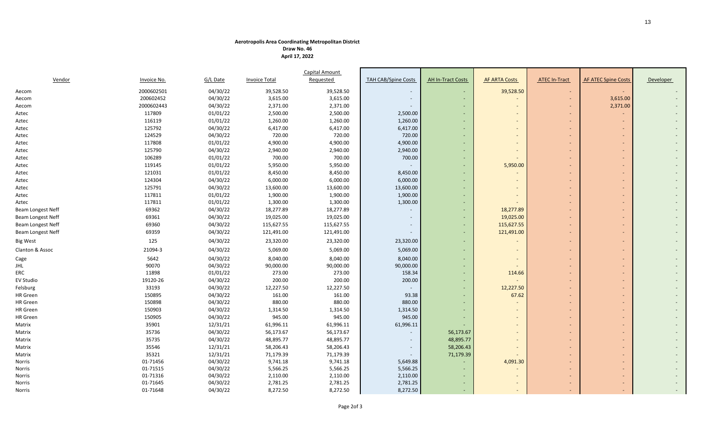#### **Aerotropolis Area Coordinating Metropolitan District**

**Draw No. 46 April 17, 2022**

|                          |                    |          |                      | Capital Amount   |                            |                          |                          |                          |                            |           |
|--------------------------|--------------------|----------|----------------------|------------------|----------------------------|--------------------------|--------------------------|--------------------------|----------------------------|-----------|
| Vendor                   | <b>Invoice No.</b> | G/L Date | <b>Invoice Total</b> | <b>Requested</b> | <b>TAH CAB/Spine Costs</b> | <b>AH In-Tract Costs</b> | <b>AF ARTA Costs</b>     | <b>ATEC In-Tract</b>     | <b>AF ATEC Spine Costs</b> | Developer |
| Aecom                    | 2000602501         | 04/30/22 | 39,528.50            | 39,528.50        |                            | $\sim$                   | 39,528.50                | $\sim$                   | $\sim$                     |           |
| Aecom                    | 200602452          | 04/30/22 | 3,615.00             | 3,615.00         |                            |                          |                          | $\blacksquare$           | 3,615.00                   |           |
| Aecom                    | 2000602443         | 04/30/22 | 2,371.00             | 2,371.00         |                            |                          |                          |                          | 2,371.00                   |           |
| Aztec                    | 117809             | 01/01/22 | 2,500.00             | 2,500.00         | 2,500.00                   |                          |                          | $\overline{\phantom{a}}$ |                            |           |
| Aztec                    | 116119             | 01/01/22 | 1,260.00             | 1,260.00         | 1,260.00                   |                          |                          | $\overline{\phantom{a}}$ |                            |           |
| Aztec                    | 125792             | 04/30/22 | 6,417.00             | 6,417.00         | 6,417.00                   |                          |                          | $\overline{\phantom{a}}$ | $\overline{\phantom{a}}$   |           |
| Aztec                    | 124529             | 04/30/22 | 720.00               | 720.00           | 720.00                     |                          |                          |                          |                            |           |
| Aztec                    | 117808             | 01/01/22 | 4,900.00             | 4,900.00         | 4,900.00                   |                          |                          |                          |                            |           |
| Aztec                    | 125790             | 04/30/22 | 2,940.00             | 2,940.00         | 2,940.00                   |                          |                          | $\overline{\phantom{a}}$ | $\overline{\phantom{a}}$   |           |
| Aztec                    | 106289             | 01/01/22 | 700.00               | 700.00           | 700.00                     |                          |                          |                          |                            |           |
| Aztec                    | 119145             | 01/01/22 | 5,950.00             | 5,950.00         |                            |                          | 5,950.00                 |                          |                            |           |
| Aztec                    | 121031             | 01/01/22 | 8,450.00             | 8,450.00         | 8,450.00                   |                          |                          |                          |                            |           |
| Aztec                    | 124304             | 04/30/22 | 6,000.00             | 6,000.00         | 6,000.00                   |                          | $\overline{\phantom{a}}$ | $\overline{\phantom{a}}$ | $\qquad \qquad -$          |           |
| Aztec                    | 125791             | 04/30/22 | 13,600.00            | 13,600.00        | 13,600.00                  |                          |                          |                          |                            |           |
| Aztec                    | 117811             | 01/01/22 | 1,900.00             | 1,900.00         | 1,900.00                   |                          |                          |                          |                            |           |
| Aztec                    | 117811             | 01/01/22 | 1,300.00             | 1,300.00         | 1,300.00                   | $\sim$                   |                          | $\overline{\phantom{a}}$ | $\overline{\phantom{a}}$   |           |
| Beam Longest Neff        | 69362              | 04/30/22 | 18,277.89            | 18,277.89        |                            |                          | 18,277.89                |                          |                            |           |
| Beam Longest Neff        | 69361              | 04/30/22 | 19,025.00            | 19,025.00        |                            |                          | 19,025.00                |                          |                            |           |
| <b>Beam Longest Neff</b> | 69360              | 04/30/22 | 115,627.55           | 115,627.55       |                            |                          | 115,627.55               |                          |                            |           |
| Beam Longest Neff        | 69359              | 04/30/22 | 121,491.00           | 121,491.00       |                            | $\sim$                   | 121,491.00               | $\overline{\phantom{a}}$ | $\overline{a}$             |           |
| <b>Big West</b>          | 125                | 04/30/22 | 23,320.00            | 23,320.00        | 23,320.00                  |                          |                          | $\overline{\phantom{a}}$ |                            |           |
| Clanton & Assoc          | 21094-3            | 04/30/22 | 5,069.00             | 5,069.00         | 5,069.00                   |                          | $\overline{\phantom{a}}$ | $\overline{\phantom{a}}$ | $\blacksquare$             |           |
| Cage                     | 5642               | 04/30/22 | 8,040.00             | 8,040.00         | 8,040.00                   |                          |                          | $\overline{\phantom{a}}$ | $\overline{\phantom{0}}$   |           |
| JHL                      | 90070              | 04/30/22 | 90,000.00            | 90,000.00        | 90,000.00                  |                          |                          |                          |                            |           |
| ERC                      | 11898              | 01/01/22 | 273.00               | 273.00           | 158.34                     |                          | 114.66                   |                          |                            |           |
| <b>EV Studio</b>         | 19120-26           | 04/30/22 | 200.00               | 200.00           | 200.00                     |                          |                          | $\blacksquare$           | $\overline{\phantom{a}}$   |           |
| Felsburg                 | 33193              | 04/30/22 | 12,227.50            | 12,227.50        |                            |                          | 12,227.50                |                          |                            |           |
| <b>HR</b> Green          | 150895             | 04/30/22 | 161.00               | 161.00           | 93.38                      |                          | 67.62                    | $\overline{\phantom{a}}$ |                            |           |
| <b>HR</b> Green          | 150898             | 04/30/22 | 880.00               | 880.00           | 880.00                     |                          |                          |                          |                            |           |
| <b>HR</b> Green          | 150903             | 04/30/22 | 1,314.50             | 1,314.50         | 1,314.50                   |                          |                          | $\overline{\phantom{a}}$ | $\overline{\phantom{a}}$   |           |
| <b>HR</b> Green          | 150905             | 04/30/22 | 945.00               | 945.00           | 945.00                     |                          |                          |                          |                            |           |
| Matrix                   | 35901              | 12/31/21 | 61,996.11            | 61,996.11        | 61,996.11                  |                          |                          |                          |                            |           |
| Matrix                   | 35736              | 04/30/22 | 56,173.67            | 56,173.67        |                            | 56,173.67                | $\overline{\phantom{a}}$ | $\overline{\phantom{a}}$ | $\blacksquare$             |           |
| Matrix                   | 35735              | 04/30/22 | 48,895.77            | 48,895.77        |                            | 48,895.77                |                          |                          |                            |           |
| Matrix                   | 35546              | 12/31/21 | 58,206.43            | 58,206.43        |                            | 58,206.43                |                          |                          |                            |           |
| Matrix                   | 35321              | 12/31/21 | 71,179.39            | 71,179.39        |                            | 71,179.39                |                          |                          |                            |           |
| Norris                   | 01-71456           | 04/30/22 | 9,741.18             | 9,741.18         | 5,649.88                   |                          | 4,091.30                 |                          |                            |           |
| Norris                   | 01-71515           | 04/30/22 | 5,566.25             | 5,566.25         | 5,566.25                   |                          |                          |                          |                            |           |
| Norris                   | 01-71316           | 04/30/22 | 2,110.00             | 2,110.00         | 2,110.00                   |                          |                          | $\overline{\phantom{a}}$ |                            |           |
| Norris                   | 01-71645           | 04/30/22 | 2,781.25             | 2,781.25         | 2,781.25                   |                          |                          |                          |                            |           |
| Norris                   | 01-71648           | 04/30/22 | 8,272.50             | 8,272.50         | 8,272.50                   | $\sim$                   | $\overline{\phantom{a}}$ | $\overline{\phantom{a}}$ | $\overline{\phantom{a}}$   |           |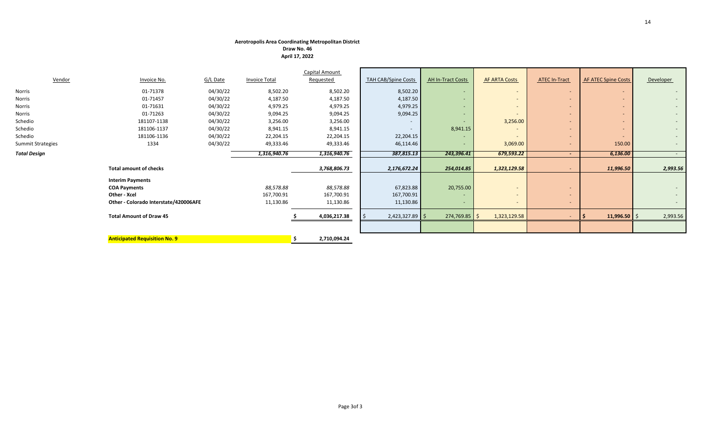#### **Aerotropolis Area Coordinating Metropolitan District**

**Draw No. 46 April 17, 2022**

|                     |                                       |          |               | Capital Amount     |                            |                          |                          |                          |                            |                  |
|---------------------|---------------------------------------|----------|---------------|--------------------|----------------------------|--------------------------|--------------------------|--------------------------|----------------------------|------------------|
| Vendor              | Invoice No.                           | G/L Date | Invoice Total | Requested          | <b>TAH CAB/Spine Costs</b> | <b>AH In-Tract Costs</b> | <b>AF ARTA Costs</b>     | <b>ATEC In-Tract</b>     | <b>AF ATEC Spine Costs</b> | Developer        |
| Norris              | 01-71378                              | 04/30/22 | 8,502.20      | 8,502.20           | 8,502.20                   | $\sim$                   | $\overline{a}$           | $\overline{\phantom{a}}$ | $\overline{\phantom{a}}$   | $\sim$           |
| Norris              | 01-71457                              | 04/30/22 | 4,187.50      | 4,187.50           | 4,187.50                   |                          | $\overline{\phantom{0}}$ | $\overline{\phantom{a}}$ | -                          | $\sim$           |
| Norris              | 01-71631                              | 04/30/22 | 4,979.25      | 4,979.25           | 4,979.25                   |                          | $\overline{a}$           | $\overline{\phantom{a}}$ | -                          | $\sim$           |
| Norris              | 01-71263                              | 04/30/22 | 9,094.25      | 9,094.25           | 9,094.25                   | $\sim$                   |                          | $\overline{\phantom{a}}$ | ۰.                         | $\sim$           |
| Schedio             | 181107-1138                           | 04/30/22 | 3,256.00      | 3,256.00           |                            |                          | 3,256.00                 | $\overline{\phantom{a}}$ | ۰.                         | $\sim$           |
| Schedio             | 181106-1137                           | 04/30/22 | 8,941.15      | 8,941.15           | $\overline{\phantom{0}}$   | 8,941.15                 |                          | $\overline{\phantom{a}}$ | $\overline{\phantom{a}}$   | $\sim$           |
| Schedio             | 181106-1136                           | 04/30/22 | 22,204.15     | 22,204.15          | 22,204.15                  |                          |                          | $\overline{\phantom{a}}$ | -                          | $\sim$           |
| Summit Strategies   | 1334                                  | 04/30/22 | 49,333.46     | 49,333.46          | 46,114.46                  |                          | 3,069.00                 |                          | 150.00                     | $\sim$           |
| <b>Total Design</b> |                                       |          | 1,316,940.76  | 1,316,940.76       | 387,815.13                 | 243,396.41               | 679,593.22               | $\blacksquare$           | 6,136.00                   | $\sim$ 100 $\mu$ |
|                     | <b>Total amount of checks</b>         |          |               | 3,768,806.73       | 2,176,672.24               | 254,014.85               | 1,323,129.58             |                          | 11,996.50                  | 2,993.56         |
|                     | <b>Interim Payments</b>               |          |               |                    |                            |                          |                          |                          |                            |                  |
|                     | <b>COA Payments</b>                   |          | 88,578.88     | 88,578.88          | 67,823.88                  | 20,755.00                | $\overline{\phantom{a}}$ | $\overline{\phantom{a}}$ |                            | $\sim$           |
|                     | Other - Xcel                          |          | 167,700.91    | 167,700.91         | 167,700.91                 |                          | $\overline{a}$           | $\overline{\phantom{0}}$ |                            | $\sim$           |
|                     | Other - Colorado Interstate/420006AFE |          | 11,130.86     | 11,130.86          | 11,130.86                  | $\sim$                   | $\overline{\phantom{a}}$ | $\overline{\phantom{a}}$ |                            | $\sim$           |
|                     | <b>Total Amount of Draw 45</b>        |          |               | 4,036,217.38       | $2,423,327.89$ \$          | $274,769.85$ \$          | 1,323,129.58             |                          | 11,996.50 $\frac{1}{2}$    | 2,993.56         |
|                     |                                       |          |               |                    |                            |                          |                          |                          |                            |                  |
|                     | <b>Anticipated Requisition No. 9</b>  |          |               | 2,710,094.24<br>.S |                            |                          |                          |                          |                            |                  |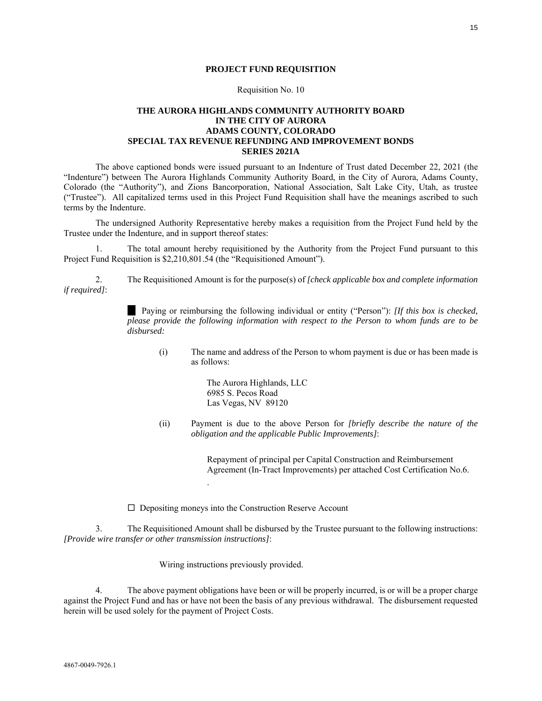#### **PROJECT FUND REQUISITION**

#### Requisition No. 10

#### <span id="page-14-0"></span>**THE AURORA HIGHLANDS COMMUNITY AUTHORITY BOARD IN THE CITY OF AURORA ADAMS COUNTY, COLORADO SPECIAL TAX REVENUE REFUNDING AND IMPROVEMENT BONDS SERIES 2021A**

The above captioned bonds were issued pursuant to an Indenture of Trust dated December 22, 2021 (the "Indenture") between The Aurora Highlands Community Authority Board, in the City of Aurora, Adams County, Colorado (the "Authority"), and Zions Bancorporation, National Association, Salt Lake City, Utah, as trustee ("Trustee"). All capitalized terms used in this Project Fund Requisition shall have the meanings ascribed to such terms by the Indenture.

The undersigned Authority Representative hereby makes a requisition from the Project Fund held by the Trustee under the Indenture, and in support thereof states:

1. The total amount hereby requisitioned by the Authority from the Project Fund pursuant to this Project Fund Requisition is \$2,210,801.54 (the "Requisitioned Amount").

2. The Requisitioned Amount is for the purpose(s) of *[check applicable box and complete information if required]*:

> Paying or reimbursing the following individual or entity ("Person"): *[If this box is checked, please provide the following information with respect to the Person to whom funds are to be disbursed:*

(i) The name and address of the Person to whom payment is due or has been made is as follows:

> The Aurora Highlands, LLC 6985 S. Pecos Road Las Vegas, NV 89120

(ii) Payment is due to the above Person for *[briefly describe the nature of the obligation and the applicable Public Improvements]*:

> Repayment of principal per Capital Construction and Reimbursement Agreement (In-Tract Improvements) per attached Cost Certification No.6.

 $\Box$  Depositing moneys into the Construction Reserve Account

.

3. The Requisitioned Amount shall be disbursed by the Trustee pursuant to the following instructions: *[Provide wire transfer or other transmission instructions]*:

Wiring instructions previously provided.

4. The above payment obligations have been or will be properly incurred, is or will be a proper charge against the Project Fund and has or have not been the basis of any previous withdrawal. The disbursement requested herein will be used solely for the payment of Project Costs.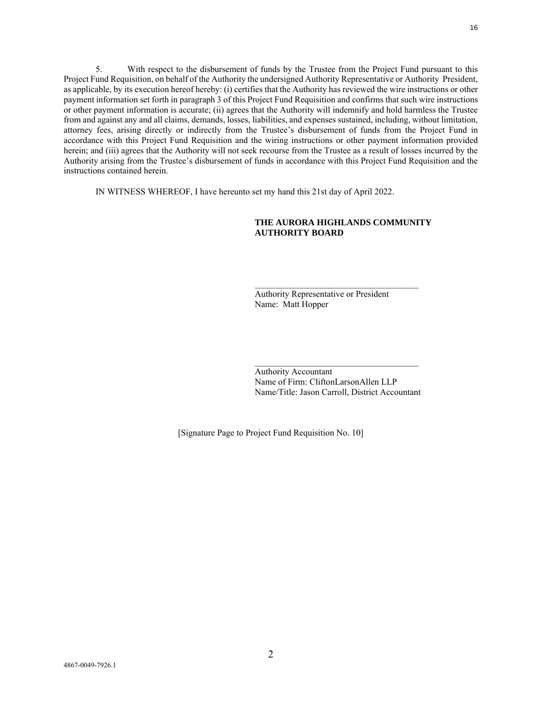5. With respect to the disbursement of funds by the Trustee from the Project Fund pursuant to this Project Fund Requisition, on behalf of the Authority the undersigned Authority Representative or Authority President, as applicable, by its execution hereof hereby: (i) certifies that the Authority has reviewed the wire instructions or other payment information set forth in paragraph 3 of this Project Fund Requisition and confirms that such wire instructions or other payment information is accurate; (ii) agrees that the Authority will indemnify and hold harmless the Trustee from and against any and all claims, demands, losses, liabilities, and expenses sustained, including, without limitation, attorney fees, arising directly or indirectly from the Trustee's disbursement of funds from the Project Fund in accordance with this Project Fund Requisition and the wiring instructions or other payment information provided herein; and (iii) agrees that the Authority will not seek recourse from the Trustee as a result of losses incurred by the Authority arising from the Trustee's disbursement of funds in accordance with this Project Fund Requisition and the instructions contained herein.

IN WITNESS WHEREOF, I have hereunto set my hand this 21st day of April 2022.

#### **THE AURORA HIGHLANDS COMMUNITY AUTHORITY BOARD**

\_\_\_\_\_\_\_\_\_\_\_\_\_\_\_\_\_\_\_\_\_\_\_\_\_\_\_\_\_\_\_\_\_\_\_\_\_

Authority Representative or President Name: Matt Hopper

Authority Accountant Name of Firm: CliftonLarsonAllen LLP Name/Title: Jason Carroll, District Accountant

\_\_\_\_\_\_\_\_\_\_\_\_\_\_\_\_\_\_\_\_\_\_\_\_\_\_\_\_\_\_\_\_\_\_\_\_\_

[Signature Page to Project Fund Requisition No. 10]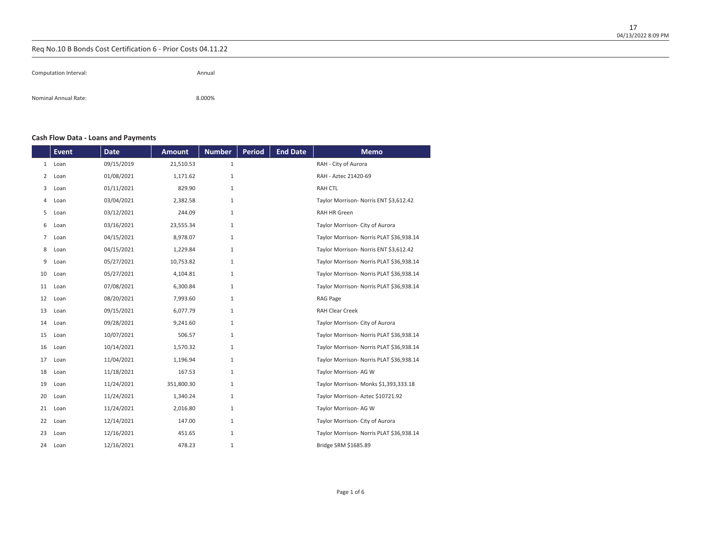| Computation Interval: | Annual |
|-----------------------|--------|
| Nominal Annual Rate:  | 8.000% |

## **Cash Flow Data - Loans and Payments**

|                | <b>Event</b> | <b>Date</b> | <b>Amount</b> | <b>Number</b> | <b>Period</b> | <b>End Date</b> | <b>Memo</b>                              |
|----------------|--------------|-------------|---------------|---------------|---------------|-----------------|------------------------------------------|
| $\mathbf{1}$   | Loan         | 09/15/2019  | 21,510.53     | $1\,$         |               |                 | RAH - City of Aurora                     |
| 2              | Loan         | 01/08/2021  | 1,171.62      | $\mathbf{1}$  |               |                 | RAH - Aztec 21420-69                     |
| 3              | Loan         | 01/11/2021  | 829.90        | $\mathbf{1}$  |               |                 | <b>RAH CTL</b>                           |
| 4              | Loan         | 03/04/2021  | 2,382.58      | 1             |               |                 | Taylor Morrison- Norris ENT \$3,612.42   |
| 5              | Loan         | 03/12/2021  | 244.09        | $\mathbf{1}$  |               |                 | <b>RAH HR Green</b>                      |
| 6              | Loan         | 03/16/2021  | 23,555.34     | $\mathbf{1}$  |               |                 | Taylor Morrison- City of Aurora          |
| $\overline{7}$ | Loan         | 04/15/2021  | 8,978.07      | $\mathbf{1}$  |               |                 | Taylor Morrison- Norris PLAT \$36,938.14 |
| 8              | Loan         | 04/15/2021  | 1,229.84      | 1             |               |                 | Taylor Morrison- Norris ENT \$3,612.42   |
| 9              | Loan         | 05/27/2021  | 10,753.82     | $\mathbf{1}$  |               |                 | Taylor Morrison- Norris PLAT \$36,938.14 |
| 10             | Loan         | 05/27/2021  | 4,104.81      | $\mathbf{1}$  |               |                 | Taylor Morrison- Norris PLAT \$36,938.14 |
| 11             | Loan         | 07/08/2021  | 6,300.84      | $\mathbf{1}$  |               |                 | Taylor Morrison- Norris PLAT \$36,938.14 |
| 12             | Loan         | 08/20/2021  | 7,993.60      | $\mathbf{1}$  |               |                 | <b>RAG Page</b>                          |
| 13             | Loan         | 09/15/2021  | 6,077.79      | $\mathbf{1}$  |               |                 | <b>RAH Clear Creek</b>                   |
| 14             | Loan         | 09/28/2021  | 9,241.60      | $\mathbf{1}$  |               |                 | Taylor Morrison- City of Aurora          |
| 15             | Loan         | 10/07/2021  | 506.57        | $\mathbf{1}$  |               |                 | Taylor Morrison- Norris PLAT \$36,938.14 |
| 16             | Loan         | 10/14/2021  | 1,570.32      | 1             |               |                 | Taylor Morrison- Norris PLAT \$36,938.14 |
| 17             | Loan         | 11/04/2021  | 1,196.94      | $\mathbf{1}$  |               |                 | Taylor Morrison- Norris PLAT \$36,938.14 |
| 18             | Loan         | 11/18/2021  | 167.53        | $\mathbf{1}$  |               |                 | Taylor Morrison- AG W                    |
| 19             | Loan         | 11/24/2021  | 351,800.30    | $\mathbf{1}$  |               |                 | Taylor Morrison- Monks \$1,393,333.18    |
| 20             | Loan         | 11/24/2021  | 1,340.24      | $\mathbf{1}$  |               |                 | Taylor Morrison- Aztec \$10721.92        |
| 21             | Loan         | 11/24/2021  | 2,016.80      | $\mathbf{1}$  |               |                 | Taylor Morrison- AG W                    |
| 22             | Loan         | 12/14/2021  | 147.00        | $\mathbf{1}$  |               |                 | Taylor Morrison- City of Aurora          |
| 23             | Loan         | 12/16/2021  | 451.65        | $\mathbf{1}$  |               |                 | Taylor Morrison- Norris PLAT \$36,938.14 |
| 24             | Loan         | 12/16/2021  | 478.23        | $\mathbf{1}$  |               |                 | Bridge SRM \$1685.89                     |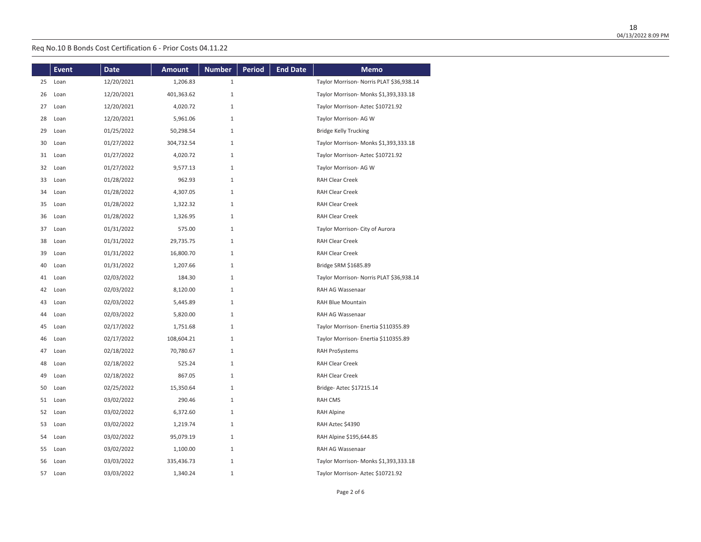|    | <b>Event</b> | <b>Date</b> | <b>Amount</b> | <b>Number</b> | <b>Period</b> | <b>End Date</b> | <b>Memo</b>                              |
|----|--------------|-------------|---------------|---------------|---------------|-----------------|------------------------------------------|
| 25 | Loan         | 12/20/2021  | 1,206.83      | $\mathbf{1}$  |               |                 | Taylor Morrison- Norris PLAT \$36,938.14 |
| 26 | Loan         | 12/20/2021  | 401,363.62    | $1\,$         |               |                 | Taylor Morrison- Monks \$1,393,333.18    |
| 27 | Loan         | 12/20/2021  | 4,020.72      | $\mathbf{1}$  |               |                 | Taylor Morrison- Aztec \$10721.92        |
| 28 | Loan         | 12/20/2021  | 5,961.06      | $1\,$         |               |                 | Taylor Morrison- AG W                    |
| 29 | Loan         | 01/25/2022  | 50,298.54     | $1\,$         |               |                 | <b>Bridge Kelly Trucking</b>             |
| 30 | Loan         | 01/27/2022  | 304,732.54    | $\,1$         |               |                 | Taylor Morrison- Monks \$1,393,333.18    |
| 31 | Loan         | 01/27/2022  | 4,020.72      | $\mathbf{1}$  |               |                 | Taylor Morrison- Aztec \$10721.92        |
| 32 | Loan         | 01/27/2022  | 9,577.13      | $1\,$         |               |                 | Taylor Morrison- AG W                    |
| 33 | Loan         | 01/28/2022  | 962.93        | $1\,$         |               |                 | <b>RAH Clear Creek</b>                   |
| 34 | Loan         | 01/28/2022  | 4,307.05      | $\mathbf{1}$  |               |                 | <b>RAH Clear Creek</b>                   |
| 35 | Loan         | 01/28/2022  | 1,322.32      | $1\,$         |               |                 | <b>RAH Clear Creek</b>                   |
| 36 | Loan         | 01/28/2022  | 1,326.95      | $1\,$         |               |                 | <b>RAH Clear Creek</b>                   |
| 37 | Loan         | 01/31/2022  | 575.00        | $1\,$         |               |                 | Taylor Morrison- City of Aurora          |
| 38 | Loan         | 01/31/2022  | 29,735.75     | $\mathbf{1}$  |               |                 | <b>RAH Clear Creek</b>                   |
| 39 | Loan         | 01/31/2022  | 16,800.70     | $1\,$         |               |                 | RAH Clear Creek                          |
| 40 | Loan         | 01/31/2022  | 1,207.66      | $\mathbf{1}$  |               |                 | Bridge SRM \$1685.89                     |
| 41 | Loan         | 02/03/2022  | 184.30        | $\mathbf{1}$  |               |                 | Taylor Morrison- Norris PLAT \$36,938.14 |
| 42 | Loan         | 02/03/2022  | 8,120.00      | $\mathbf{1}$  |               |                 | RAH AG Wassenaar                         |
| 43 | Loan         | 02/03/2022  | 5,445.89      | $1\,$         |               |                 | RAH Blue Mountain                        |
| 44 | Loan         | 02/03/2022  | 5,820.00      | $1\,$         |               |                 | RAH AG Wassenaar                         |
| 45 | Loan         | 02/17/2022  | 1,751.68      | $\mathbf{1}$  |               |                 | Taylor Morrison- Enertia \$110355.89     |
| 46 | Loan         | 02/17/2022  | 108,604.21    | $1\,$         |               |                 | Taylor Morrison- Enertia \$110355.89     |
| 47 | Loan         | 02/18/2022  | 70,780.67     | $1\,$         |               |                 | <b>RAH ProSystems</b>                    |
| 48 | Loan         | 02/18/2022  | 525.24        | $\mathbf{1}$  |               |                 | <b>RAH Clear Creek</b>                   |
| 49 | Loan         | 02/18/2022  | 867.05        | $\mathbf{1}$  |               |                 | <b>RAH Clear Creek</b>                   |
| 50 | Loan         | 02/25/2022  | 15,350.64     | $\mathbf{1}$  |               |                 | Bridge- Aztec \$17215.14                 |
| 51 | Loan         | 03/02/2022  | 290.46        | $1\,$         |               |                 | <b>RAH CMS</b>                           |
| 52 | Loan         | 03/02/2022  | 6,372.60      | $1\,$         |               |                 | RAH Alpine                               |
| 53 | Loan         | 03/02/2022  | 1,219.74      | $\mathbf{1}$  |               |                 | RAH Aztec \$4390                         |
| 54 | Loan         | 03/02/2022  | 95,079.19     | $1\,$         |               |                 | RAH Alpine \$195,644.85                  |
| 55 | Loan         | 03/02/2022  | 1,100.00      | $1\,$         |               |                 | RAH AG Wassenaar                         |
| 56 | Loan         | 03/03/2022  | 335,436.73    | $\mathbf{1}$  |               |                 | Taylor Morrison- Monks \$1,393,333.18    |
| 57 | Loan         | 03/03/2022  | 1,340.24      | $\mathbf{1}$  |               |                 | Taylor Morrison- Aztec \$10721.92        |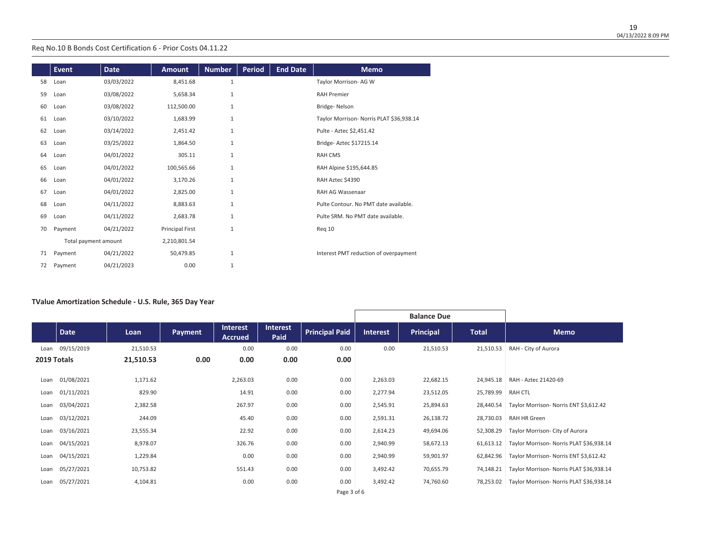|    | <b>Event</b>         | <b>Date</b> | <b>Amount</b>   | <b>Number</b> | <b>Period</b> | <b>End Date</b> | <b>Memo</b>                              |
|----|----------------------|-------------|-----------------|---------------|---------------|-----------------|------------------------------------------|
| 58 | Loan                 | 03/03/2022  | 8,451.68        | $\mathbf{1}$  |               |                 | Taylor Morrison- AG W                    |
|    |                      |             |                 |               |               |                 | <b>RAH Premier</b>                       |
| 59 | Loan                 | 03/08/2022  | 5,658.34        | $\mathbf{1}$  |               |                 |                                          |
| 60 | Loan                 | 03/08/2022  | 112,500.00      | $\mathbf{1}$  |               |                 | Bridge-Nelson                            |
| 61 | Loan                 | 03/10/2022  | 1,683.99        | $\mathbf{1}$  |               |                 | Taylor Morrison- Norris PLAT \$36,938.14 |
| 62 | Loan                 | 03/14/2022  | 2,451.42        | $\mathbf{1}$  |               |                 | Pulte - Aztec \$2,451.42                 |
| 63 | Loan                 | 03/25/2022  | 1,864.50        | $\mathbf{1}$  |               |                 | Bridge- Aztec \$17215.14                 |
| 64 | Loan                 | 04/01/2022  | 305.11          | $\mathbf{1}$  |               |                 | <b>RAH CMS</b>                           |
| 65 | Loan                 | 04/01/2022  | 100,565.66      | $\mathbf{1}$  |               |                 | RAH Alpine \$195,644.85                  |
| 66 | Loan                 | 04/01/2022  | 3,170.26        | $\mathbf{1}$  |               |                 | RAH Aztec \$4390                         |
| 67 | Loan                 | 04/01/2022  | 2,825.00        | $\mathbf{1}$  |               |                 | RAH AG Wassenaar                         |
| 68 | Loan                 | 04/11/2022  | 8,883.63        | $1\,$         |               |                 | Pulte Contour. No PMT date available.    |
| 69 | Loan                 | 04/11/2022  | 2,683.78        | $1\,$         |               |                 | Pulte SRM. No PMT date available.        |
| 70 | Payment              | 04/21/2022  | Principal First | $1\,$         |               |                 | Reg 10                                   |
|    | Total payment amount |             | 2,210,801.54    |               |               |                 |                                          |
| 71 | Payment              | 04/21/2022  | 50,479.85       | $1\,$         |               |                 | Interest PMT reduction of overpayment    |
| 72 | Payment              | 04/21/2023  | 0.00            | $\mathbf{1}$  |               |                 |                                          |

#### **TValue Amortization Schedule - U.S. Rule, 365 Day Year**

|             |            |           |         |                                   |                         |                       |                 | <b>Balance Due</b> |              |                                          |
|-------------|------------|-----------|---------|-----------------------------------|-------------------------|-----------------------|-----------------|--------------------|--------------|------------------------------------------|
|             | Date       | Loan      | Payment | <b>Interest</b><br><b>Accrued</b> | <b>Interest</b><br>Paid | <b>Principal Paid</b> | <b>Interest</b> | <b>Principal</b>   | <b>Total</b> | <b>Memo</b>                              |
| Loan        | 09/15/2019 | 21,510.53 |         | 0.00                              | 0.00                    | 0.00                  | 0.00            | 21,510.53          | 21,510.53    | RAH - City of Aurora                     |
| 2019 Totals |            | 21,510.53 | 0.00    | 0.00                              | 0.00                    | 0.00                  |                 |                    |              |                                          |
| Loan        | 01/08/2021 | 1,171.62  |         | 2,263.03                          | 0.00                    | 0.00                  | 2,263.03        | 22,682.15          | 24,945.18    | RAH - Aztec 21420-69                     |
| Loan        | 01/11/2021 | 829.90    |         | 14.91                             | 0.00                    | 0.00                  | 2,277.94        | 23,512.05          | 25,789.99    | RAH CTL                                  |
| Loan        | 03/04/2021 | 2,382.58  |         | 267.97                            | 0.00                    | 0.00                  | 2,545.91        | 25,894.63          | 28,440.54    | Taylor Morrison- Norris ENT \$3,612.42   |
| Loan        | 03/12/2021 | 244.09    |         | 45.40                             | 0.00                    | 0.00                  | 2,591.31        | 26,138.72          | 28,730.03    | RAH HR Green                             |
| Loan        | 03/16/2021 | 23,555.34 |         | 22.92                             | 0.00                    | 0.00                  | 2,614.23        | 49,694.06          | 52,308.29    | Taylor Morrison- City of Aurora          |
| Loan        | 04/15/2021 | 8,978.07  |         | 326.76                            | 0.00                    | 0.00                  | 2,940.99        | 58,672.13          | 61,613.12    | Taylor Morrison- Norris PLAT \$36,938.14 |
| Loan        | 04/15/2021 | 1,229.84  |         | 0.00                              | 0.00                    | 0.00                  | 2,940.99        | 59,901.97          | 62,842.96    | Taylor Morrison- Norris ENT \$3,612.42   |
| Loan        | 05/27/2021 | 10,753.82 |         | 551.43                            | 0.00                    | 0.00                  | 3,492.42        | 70,655.79          | 74,148.21    | Taylor Morrison- Norris PLAT \$36,938.14 |
| Loan        | 05/27/2021 | 4,104.81  |         | 0.00                              | 0.00                    | 0.00                  | 3,492.42        | 74,760.60          | 78,253.02    | Taylor Morrison- Norris PLAT \$36,938.14 |
|             |            |           |         |                                   |                         | Page 3 of 6           |                 |                    |              |                                          |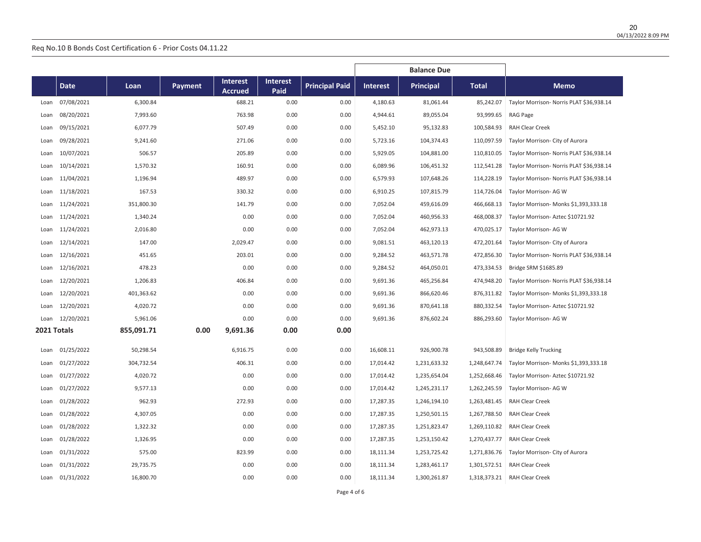|             |             |            |         |                 |                 |                       |                 | <b>Balance Due</b> |              |                                          |
|-------------|-------------|------------|---------|-----------------|-----------------|-----------------------|-----------------|--------------------|--------------|------------------------------------------|
|             |             |            |         | <b>Interest</b> | <b>Interest</b> |                       |                 |                    |              |                                          |
|             | <b>Date</b> | Loan       | Payment | Accrued         | Paid            | <b>Principal Paid</b> | <b>Interest</b> | <b>Principal</b>   | <b>Total</b> | <b>Memo</b>                              |
| Loan        | 07/08/2021  | 6,300.84   |         | 688.21          | 0.00            | 0.00                  | 4,180.63        | 81,061.44          | 85,242.07    | Taylor Morrison- Norris PLAT \$36,938.14 |
| Loan        | 08/20/2021  | 7,993.60   |         | 763.98          | 0.00            | 0.00                  | 4,944.61        | 89,055.04          | 93,999.65    | RAG Page                                 |
| Loan        | 09/15/2021  | 6,077.79   |         | 507.49          | 0.00            | 0.00                  | 5,452.10        | 95,132.83          | 100,584.93   | <b>RAH Clear Creek</b>                   |
| Loan        | 09/28/2021  | 9,241.60   |         | 271.06          | 0.00            | 0.00                  | 5,723.16        | 104,374.43         | 110,097.59   | Taylor Morrison- City of Aurora          |
| Loan        | 10/07/2021  | 506.57     |         | 205.89          | 0.00            | 0.00                  | 5,929.05        | 104,881.00         | 110,810.05   | Taylor Morrison- Norris PLAT \$36,938.14 |
| Loan        | 10/14/2021  | 1,570.32   |         | 160.91          | 0.00            | 0.00                  | 6,089.96        | 106,451.32         | 112,541.28   | Taylor Morrison- Norris PLAT \$36,938.14 |
| Loan        | 11/04/2021  | 1,196.94   |         | 489.97          | 0.00            | 0.00                  | 6,579.93        | 107,648.26         | 114,228.19   | Taylor Morrison- Norris PLAT \$36,938.14 |
| Loan        | 11/18/2021  | 167.53     |         | 330.32          | 0.00            | 0.00                  | 6,910.25        | 107,815.79         | 114,726.04   | Taylor Morrison-AG W                     |
| Loan        | 11/24/2021  | 351,800.30 |         | 141.79          | 0.00            | 0.00                  | 7,052.04        | 459,616.09         | 466,668.13   | Taylor Morrison- Monks \$1,393,333.18    |
| Loan        | 11/24/2021  | 1,340.24   |         | 0.00            | 0.00            | 0.00                  | 7,052.04        | 460,956.33         | 468,008.37   | Taylor Morrison-Aztec \$10721.92         |
| Loan        | 11/24/2021  | 2,016.80   |         | 0.00            | 0.00            | 0.00                  | 7,052.04        | 462,973.13         | 470,025.17   | Taylor Morrison- AG W                    |
| Loan        | 12/14/2021  | 147.00     |         | 2,029.47        | 0.00            | 0.00                  | 9,081.51        | 463,120.13         | 472,201.64   | Taylor Morrison- City of Aurora          |
| Loan        | 12/16/2021  | 451.65     |         | 203.01          | 0.00            | 0.00                  | 9,284.52        | 463,571.78         | 472,856.30   | Taylor Morrison- Norris PLAT \$36,938.14 |
| Loan        | 12/16/2021  | 478.23     |         | 0.00            | 0.00            | 0.00                  | 9,284.52        | 464,050.01         | 473,334.53   | Bridge SRM \$1685.89                     |
| Loan        | 12/20/2021  | 1,206.83   |         | 406.84          | 0.00            | 0.00                  | 9,691.36        | 465,256.84         | 474,948.20   | Taylor Morrison- Norris PLAT \$36,938.14 |
| Loan        | 12/20/2021  | 401,363.62 |         | 0.00            | 0.00            | 0.00                  | 9,691.36        | 866,620.46         | 876,311.82   | Taylor Morrison- Monks \$1,393,333.18    |
| Loan        | 12/20/2021  | 4,020.72   |         | 0.00            | 0.00            | 0.00                  | 9,691.36        | 870,641.18         | 880,332.54   | Taylor Morrison-Aztec \$10721.92         |
| Loan        | 12/20/2021  | 5,961.06   |         | 0.00            | 0.00            | 0.00                  | 9,691.36        | 876,602.24         | 886,293.60   | Taylor Morrison- AG W                    |
| 2021 Totals |             | 855,091.71 | 0.00    | 9,691.36        | 0.00            | 0.00                  |                 |                    |              |                                          |
| Loan        | 01/25/2022  | 50,298.54  |         | 6,916.75        | 0.00            | 0.00                  | 16,608.11       | 926,900.78         | 943,508.89   | <b>Bridge Kelly Trucking</b>             |
| Loan        | 01/27/2022  | 304,732.54 |         | 406.31          | 0.00            | 0.00                  | 17,014.42       | 1,231,633.32       | 1,248,647.74 | Taylor Morrison- Monks \$1,393,333.18    |
| Loan        | 01/27/2022  | 4,020.72   |         | 0.00            | 0.00            | 0.00                  | 17,014.42       | 1,235,654.04       | 1,252,668.46 | Taylor Morrison-Aztec \$10721.92         |
| Loan        | 01/27/2022  | 9,577.13   |         | 0.00            | 0.00            | 0.00                  | 17,014.42       | 1,245,231.17       | 1,262,245.59 | Taylor Morrison- AG W                    |
| Loan        | 01/28/2022  | 962.93     |         | 272.93          | 0.00            | 0.00                  | 17,287.35       | 1,246,194.10       | 1,263,481.45 | RAH Clear Creek                          |
| Loan        | 01/28/2022  | 4,307.05   |         | 0.00            | 0.00            | 0.00                  | 17,287.35       | 1,250,501.15       | 1,267,788.50 | <b>RAH Clear Creek</b>                   |
| Loan        | 01/28/2022  | 1,322.32   |         | 0.00            | 0.00            | 0.00                  | 17,287.35       | 1,251,823.47       | 1,269,110.82 | <b>RAH Clear Creek</b>                   |
| Loan        | 01/28/2022  | 1,326.95   |         | 0.00            | 0.00            | 0.00                  | 17,287.35       | 1,253,150.42       | 1,270,437.77 | RAH Clear Creek                          |
| Loan        | 01/31/2022  | 575.00     |         | 823.99          | 0.00            | 0.00                  | 18,111.34       | 1,253,725.42       | 1,271,836.76 | Taylor Morrison- City of Aurora          |
| Loan        | 01/31/2022  | 29,735.75  |         | 0.00            | 0.00            | 0.00                  | 18,111.34       | 1,283,461.17       | 1,301,572.51 | <b>RAH Clear Creek</b>                   |
| Loan        | 01/31/2022  | 16,800.70  |         | 0.00            | 0.00            | 0.00                  | 18,111.34       | 1,300,261.87       |              | 1,318,373.21 RAH Clear Creek             |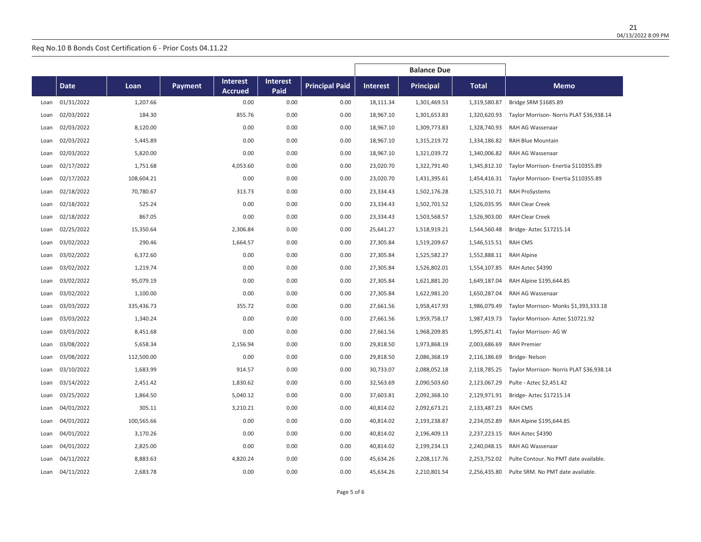|      |             |            |                                                     |                         |                       | <b>Balance Due</b> |                  |              |                                          |
|------|-------------|------------|-----------------------------------------------------|-------------------------|-----------------------|--------------------|------------------|--------------|------------------------------------------|
|      | <b>Date</b> | Loan       | <b>Interest</b><br><b>Payment</b><br><b>Accrued</b> | <b>Interest</b><br>Paid | <b>Principal Paid</b> | <b>Interest</b>    | <b>Principal</b> | <b>Total</b> | <b>Memo</b>                              |
| Loan | 01/31/2022  | 1,207.66   | 0.00                                                | 0.00                    | 0.00                  | 18,111.34          | 1,301,469.53     | 1,319,580.87 | Bridge SRM \$1685.89                     |
| Loan | 02/03/2022  | 184.30     | 855.76                                              | 0.00                    | 0.00                  | 18,967.10          | 1,301,653.83     | 1,320,620.93 | Taylor Morrison- Norris PLAT \$36,938.14 |
| Loan | 02/03/2022  | 8,120.00   | 0.00                                                | 0.00                    | 0.00                  | 18,967.10          | 1,309,773.83     | 1,328,740.93 | RAH AG Wassenaar                         |
| Loan | 02/03/2022  | 5,445.89   | 0.00                                                | 0.00                    | 0.00                  | 18,967.10          | 1,315,219.72     | 1,334,186.82 | RAH Blue Mountain                        |
| Loan | 02/03/2022  | 5,820.00   | 0.00                                                | 0.00                    | 0.00                  | 18,967.10          | 1,321,039.72     | 1,340,006.82 | RAH AG Wassenaar                         |
| Loan | 02/17/2022  | 1,751.68   | 4,053.60                                            | 0.00                    | 0.00                  | 23,020.70          | 1,322,791.40     | 1,345,812.10 | Taylor Morrison- Enertia \$110355.89     |
| Loan | 02/17/2022  | 108,604.21 | 0.00                                                | 0.00                    | 0.00                  | 23,020.70          | 1,431,395.61     | 1,454,416.31 | Taylor Morrison- Enertia \$110355.89     |
| Loan | 02/18/2022  | 70,780.67  | 313.73                                              | 0.00                    | 0.00                  | 23,334.43          | 1,502,176.28     | 1,525,510.71 | <b>RAH ProSystems</b>                    |
| Loan | 02/18/2022  | 525.24     | 0.00                                                | 0.00                    | 0.00                  | 23,334.43          | 1,502,701.52     | 1,526,035.95 | <b>RAH Clear Creek</b>                   |
| Loan | 02/18/2022  | 867.05     | 0.00                                                | 0.00                    | 0.00                  | 23,334.43          | 1,503,568.57     | 1,526,903.00 | <b>RAH Clear Creek</b>                   |
| Loan | 02/25/2022  | 15,350.64  | 2,306.84                                            | 0.00                    | 0.00                  | 25,641.27          | 1,518,919.21     | 1,544,560.48 | Bridge- Aztec \$17215.14                 |
| Loan | 03/02/2022  | 290.46     | 1,664.57                                            | 0.00                    | 0.00                  | 27,305.84          | 1,519,209.67     | 1,546,515.51 | <b>RAH CMS</b>                           |
| Loan | 03/02/2022  | 6,372.60   | 0.00                                                | 0.00                    | 0.00                  | 27,305.84          | 1,525,582.27     | 1,552,888.11 | <b>RAH Alpine</b>                        |
| Loan | 03/02/2022  | 1,219.74   | 0.00                                                | 0.00                    | 0.00                  | 27,305.84          | 1,526,802.01     | 1,554,107.85 | RAH Aztec \$4390                         |
| Loan | 03/02/2022  | 95,079.19  | 0.00                                                | 0.00                    | 0.00                  | 27,305.84          | 1,621,881.20     | 1,649,187.04 | RAH Alpine \$195,644.85                  |
| Loan | 03/02/2022  | 1,100.00   | 0.00                                                | 0.00                    | 0.00                  | 27,305.84          | 1,622,981.20     | 1,650,287.04 | RAH AG Wassenaar                         |
| Loan | 03/03/2022  | 335,436.73 | 355.72                                              | 0.00                    | 0.00                  | 27,661.56          | 1,958,417.93     | 1,986,079.49 | Taylor Morrison- Monks \$1,393,333.18    |
| Loan | 03/03/2022  | 1,340.24   | 0.00                                                | 0.00                    | 0.00                  | 27,661.56          | 1,959,758.17     | 1,987,419.73 | Taylor Morrison-Aztec \$10721.92         |
| Loan | 03/03/2022  | 8,451.68   | 0.00                                                | 0.00                    | 0.00                  | 27,661.56          | 1,968,209.85     | 1,995,871.41 | Taylor Morrison- AG W                    |
| Loan | 03/08/2022  | 5,658.34   | 2,156.94                                            | 0.00                    | 0.00                  | 29,818.50          | 1,973,868.19     | 2,003,686.69 | <b>RAH Premier</b>                       |
| Loan | 03/08/2022  | 112,500.00 | 0.00                                                | 0.00                    | 0.00                  | 29,818.50          | 2,086,368.19     | 2,116,186.69 | Bridge-Nelson                            |
| Loan | 03/10/2022  | 1,683.99   | 914.57                                              | 0.00                    | 0.00                  | 30,733.07          | 2,088,052.18     | 2,118,785.25 | Taylor Morrison- Norris PLAT \$36,938.14 |
| Loan | 03/14/2022  | 2,451.42   | 1,830.62                                            | 0.00                    | 0.00                  | 32,563.69          | 2,090,503.60     | 2,123,067.29 | Pulte - Aztec \$2,451.42                 |
| Loan | 03/25/2022  | 1,864.50   | 5,040.12                                            | 0.00                    | 0.00                  | 37,603.81          | 2,092,368.10     | 2,129,971.91 | Bridge- Aztec \$17215.14                 |
| Loan | 04/01/2022  | 305.11     | 3,210.21                                            | 0.00                    | 0.00                  | 40,814.02          | 2,092,673.21     | 2,133,487.23 | <b>RAH CMS</b>                           |
| Loan | 04/01/2022  | 100,565.66 | 0.00                                                | 0.00                    | 0.00                  | 40,814.02          | 2,193,238.87     | 2,234,052.89 | RAH Alpine \$195,644.85                  |
| Loan | 04/01/2022  | 3,170.26   | 0.00                                                | 0.00                    | 0.00                  | 40,814.02          | 2,196,409.13     | 2,237,223.15 | RAH Aztec \$4390                         |
| Loan | 04/01/2022  | 2,825.00   | 0.00                                                | 0.00                    | 0.00                  | 40,814.02          | 2,199,234.13     | 2,240,048.15 | RAH AG Wassenaar                         |
| Loan | 04/11/2022  | 8,883.63   | 4,820.24                                            | 0.00                    | 0.00                  | 45,634.26          | 2,208,117.76     | 2,253,752.02 | Pulte Contour. No PMT date available.    |
| Loan | 04/11/2022  | 2,683.78   | 0.00                                                | 0.00                    | 0.00                  | 45,634.26          | 2,210,801.54     | 2,256,435.80 | Pulte SRM. No PMT date available.        |